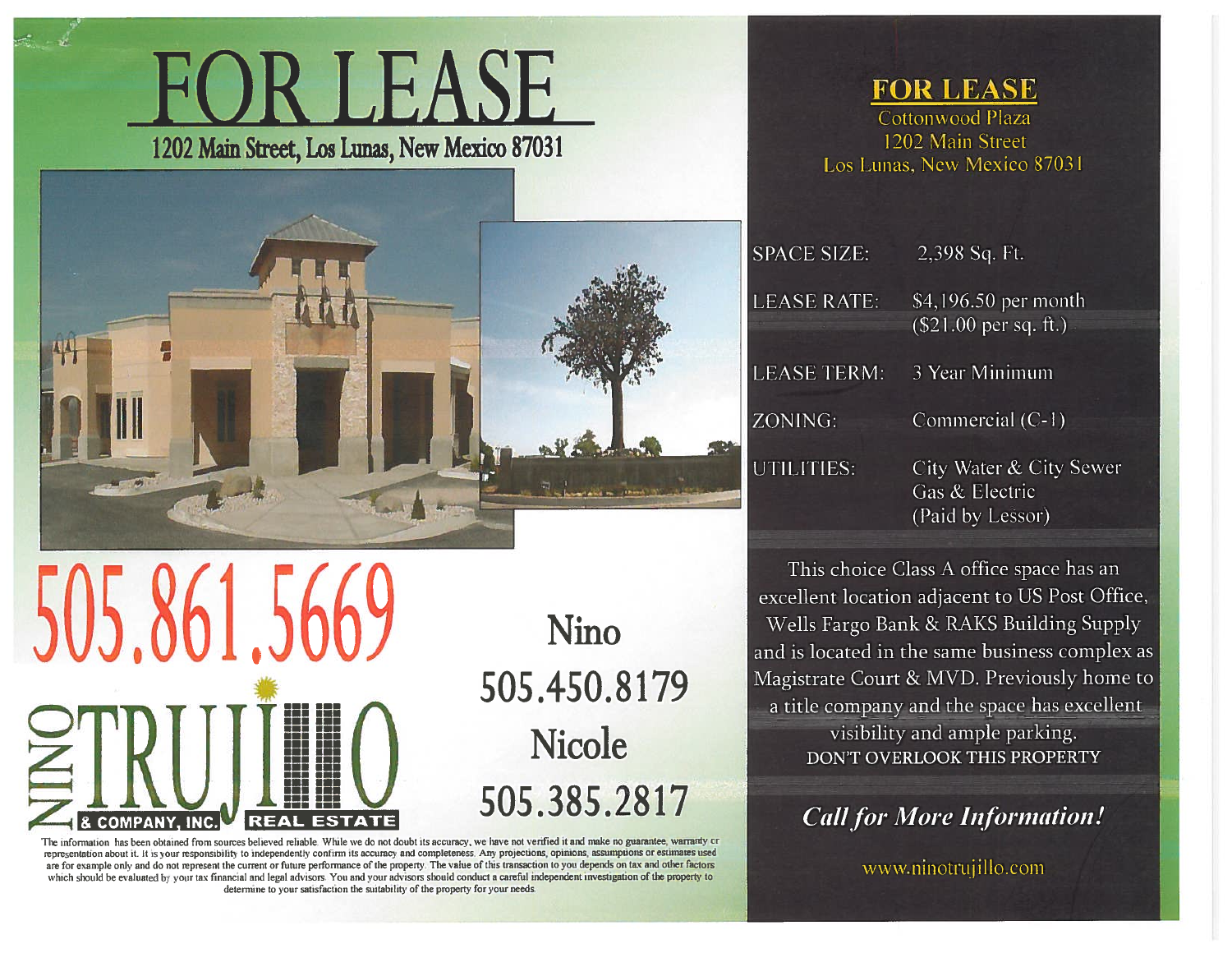



505.861. **REAL** 

**Nino** 505.450.8179 **Nicole** 505.385.2817

The information has been obtained from sources believed reliable. While we do not doubt its accuracy, we have not verified it and make no guarantee, warranty or representation about it. It is your responsibility to independently confirm its accuracy and completeness. Any projections, opinions, assumptions or estimates used are for example only and do not represent the current or future performance of the property. The value of this transaction to you depends on tax and other factors which should be evaluated by your tax financial and legal advisors. You and your advisors should conduct a careful independent investigation of the property to determine to your satisfaction the suitability of the property for your needs

**FOR LEASE** 

Cottonwood Plaza 1202 Main Street Los Lunas, New Mexico 87031

| <b>SPACE SIZE:</b> | $2,398$ Sq. Ft.                                              |
|--------------------|--------------------------------------------------------------|
| <b>LEASE RATE:</b> | \$4,196.50 per month<br>$$21.00$ per sq. ft.)                |
| LEASE TERM:        | 3 Year Minimum                                               |
| ZONING:            | Commercial (C-1)                                             |
| UTILITIES:         | City Water & City Sewe<br>Gas & Electric<br>(Paid by Lessor) |

This choice Class A office space has an excellent location adjacent to US Post Office, Wells Fargo Bank & RAKS Building Supply and is located in the same business complex as Magistrate Court & MVD. Previously home to a title company and the space has excellent visibility and ample parking. DON'T OVERLOOK THIS PROPERTY

**Call for More Information!** 

www.ninotrujillo.com